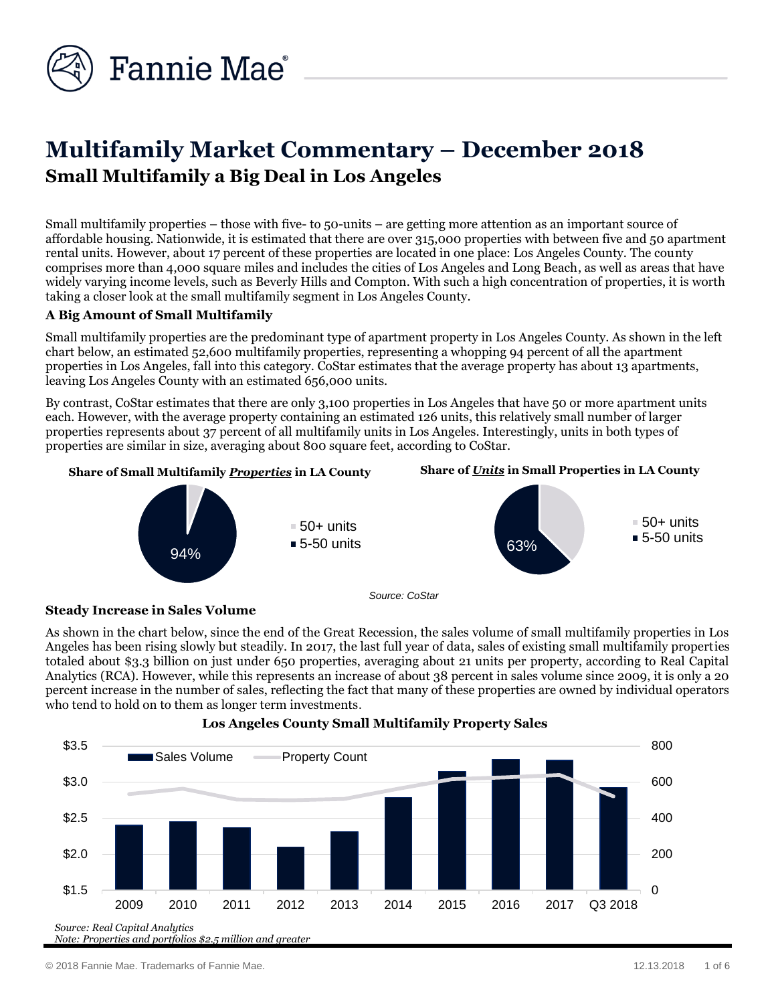

# **Multifamily Market Commentary – December 2018 Small Multifamily a Big Deal in Los Angeles**

Small multifamily properties – those with five- to 50-units – are getting more attention as an important source of affordable housing. Nationwide, it is estimated that there are over 315,000 properties with between five and 50 apartment rental units. However, about 17 percent of these properties are located in one place: Los Angeles County. The county comprises more than 4,000 square miles and includes the cities of Los Angeles and Long Beach, as well as areas that have widely varying income levels, such as Beverly Hills and Compton. With such a high concentration of properties, it is worth taking a closer look at the small multifamily segment in Los Angeles County.

# **A Big Amount of Small Multifamily**

Small multifamily properties are the predominant type of apartment property in Los Angeles County. As shown in the left chart below, an estimated 52,600 multifamily properties, representing a whopping 94 percent of all the apartment properties in Los Angeles, fall into this category. CoStar estimates that the average property has about 13 apartments, leaving Los Angeles County with an estimated 656,000 units.

By contrast, CoStar estimates that there are only 3,100 properties in Los Angeles that have 50 or more apartment units each. However, with the average property containing an estimated 126 units, this relatively small number of larger properties represents about 37 percent of all multifamily units in Los Angeles. Interestingly, units in both types of properties are similar in size, averaging about 800 square feet, according to CoStar.



### **Steady Increase in Sales Volume**

As shown in the chart below, since the end of the Great Recession, the sales volume of small multifamily properties in Los Angeles has been rising slowly but steadily. In 2017, the last full year of data, sales of existing small multifamily properties totaled about \$3.3 billion on just under 650 properties, averaging about 21 units per property, according to Real Capital Analytics (RCA). However, while this represents an increase of about 38 percent in sales volume since 2009, it is only a 20 percent increase in the number of sales, reflecting the fact that many of these properties are owned by individual operators who tend to hold on to them as longer term investments.



#### **Los Angeles County Small Multifamily Property Sales**

© 2018 Fannie Mae. Trademarks of Fannie Mae. 12.13.2018 1 of 6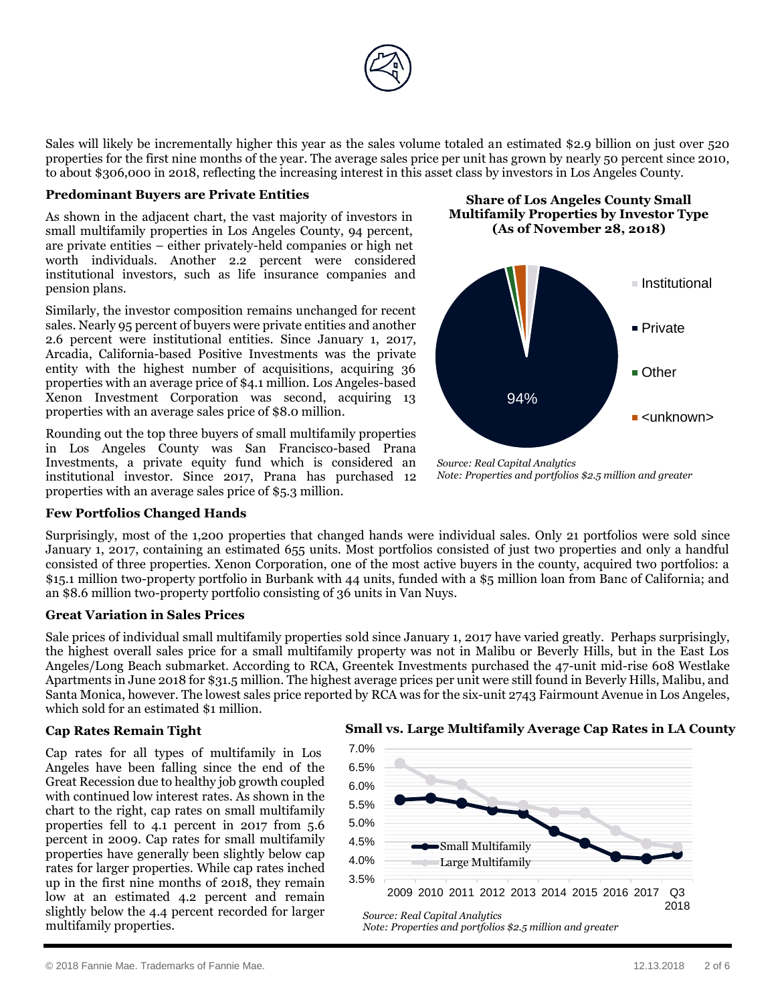

Sales will likely be incrementally higher this year as the sales volume totaled an estimated \$2.9 billion on just over 520 properties for the first nine months of the year. The average sales price per unit has grown by nearly 50 percent since 2010, to about \$306,000 in 2018, reflecting the increasing interest in this asset class by investors in Los Angeles County.

#### **Predominant Buyers are Private Entities**

As shown in the adjacent chart, the vast majority of investors in small multifamily properties in Los Angeles County, 94 percent, are private entities – either privately-held companies or high net worth individuals. Another 2.2 percent were considered institutional investors, such as life insurance companies and pension plans.

Similarly, the investor composition remains unchanged for recent sales. Nearly 95 percent of buyers were private entities and another 2.6 percent were institutional entities. Since January 1, 2017, Arcadia, California-based Positive Investments was the private entity with the highest number of acquisitions, acquiring 36 properties with an average price of \$4.1 million. Los Angeles-based Xenon Investment Corporation was second, acquiring 13 properties with an average sales price of \$8.0 million.

Rounding out the top three buyers of small multifamily properties in Los Angeles County was San Francisco-based Prana Investments, a private equity fund which is considered an institutional investor. Since 2017, Prana has purchased 12 properties with an average sales price of \$5.3 million.

### **Few Portfolios Changed Hands**

**Share of Los Angeles County Small Multifamily Properties by Investor Type (As of November 28, 2018)**



*Source: Real Capital Analytics Note: Properties and portfolios \$2.5 million and greater*

Surprisingly, most of the 1,200 properties that changed hands were individual sales. Only 21 portfolios were sold since January 1, 2017, containing an estimated 655 units. Most portfolios consisted of just two properties and only a handful consisted of three properties. Xenon Corporation, one of the most active buyers in the county, acquired two portfolios: a \$15.1 million two-property portfolio in Burbank with 44 units, funded with a \$5 million loan from Banc of California; and an \$8.6 million two-property portfolio consisting of 36 units in Van Nuys.

### **Great Variation in Sales Prices**

Sale prices of individual small multifamily properties sold since January 1, 2017 have varied greatly. Perhaps surprisingly, the highest overall sales price for a small multifamily property was not in Malibu or Beverly Hills, but in the East Los Angeles/Long Beach submarket. According to RCA, Greentek Investments purchased the 47-unit mid-rise 608 Westlake Apartments in June 2018 for \$31.5 million. The highest average prices per unit were still found in Beverly Hills, Malibu, and Santa Monica, however. The lowest sales price reported by RCA was for the six-unit 2743 Fairmount Avenue in Los Angeles, which sold for an estimated \$1 million.

### **Cap Rates Remain Tight**

Cap rates for all types of multifamily in Los Angeles have been falling since the end of the Great Recession due to healthy job growth coupled with continued low interest rates. As shown in the chart to the right, cap rates on small multifamily properties fell to 4.1 percent in 2017 from 5.6 percent in 2009. Cap rates for small multifamily properties have generally been slightly below cap rates for larger properties. While cap rates inched up in the first nine months of 2018, they remain low at an estimated 4.2 percent and remain slightly below the 4.4 percent recorded for larger multifamily properties.

# **Small vs. Large Multifamily Average Cap Rates in LA County**

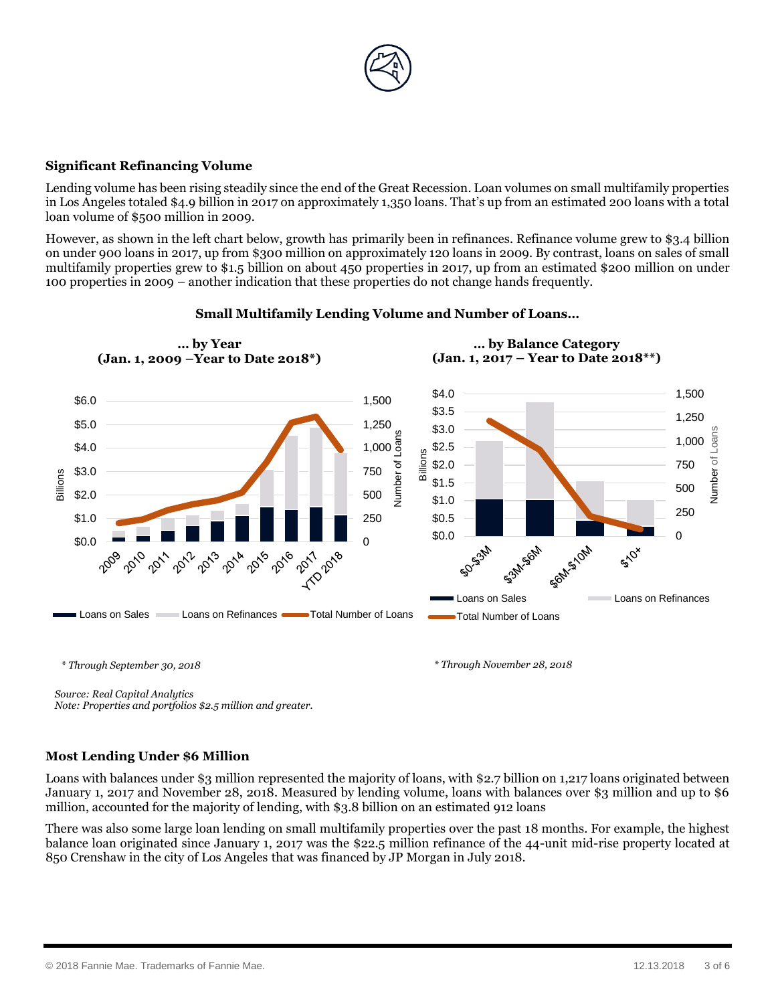

# **Significant Refinancing Volume**

Lending volume has been rising steadily since the end of the Great Recession. Loan volumes on small multifamily properties in Los Angeles totaled \$4.9 billion in 2017 on approximately 1,350 loans. That's up from an estimated 200 loans with a total loan volume of \$500 million in 2009.

However, as shown in the left chart below, growth has primarily been in refinances. Refinance volume grew to \$3.4 billion on under 900 loans in 2017, up from \$300 million on approximately 120 loans in 2009. By contrast, loans on sales of small multifamily properties grew to \$1.5 billion on about 450 properties in 2017, up from an estimated \$200 million on under 100 properties in 2009 – another indication that these properties do not change hands frequently.



# **Small Multifamily Lending Volume and Number of Loans…**

*\* Through September 30, 2018 \* Through November 28, 2018*

*Source: Real Capital Analytics Note: Properties and portfolios \$2.5 million and greater.*

### **Most Lending Under \$6 Million**

Loans with balances under \$3 million represented the majority of loans, with \$2.7 billion on 1,217 loans originated between January 1, 2017 and November 28, 2018. Measured by lending volume, loans with balances over \$3 million and up to \$6 million, accounted for the majority of lending, with \$3.8 billion on an estimated 912 loans

There was also some large loan lending on small multifamily properties over the past 18 months. For example, the highest balance loan originated since January 1, 2017 was the \$22.5 million refinance of the 44-unit mid-rise property located at 850 Crenshaw in the city of Los Angeles that was financed by JP Morgan in July 2018.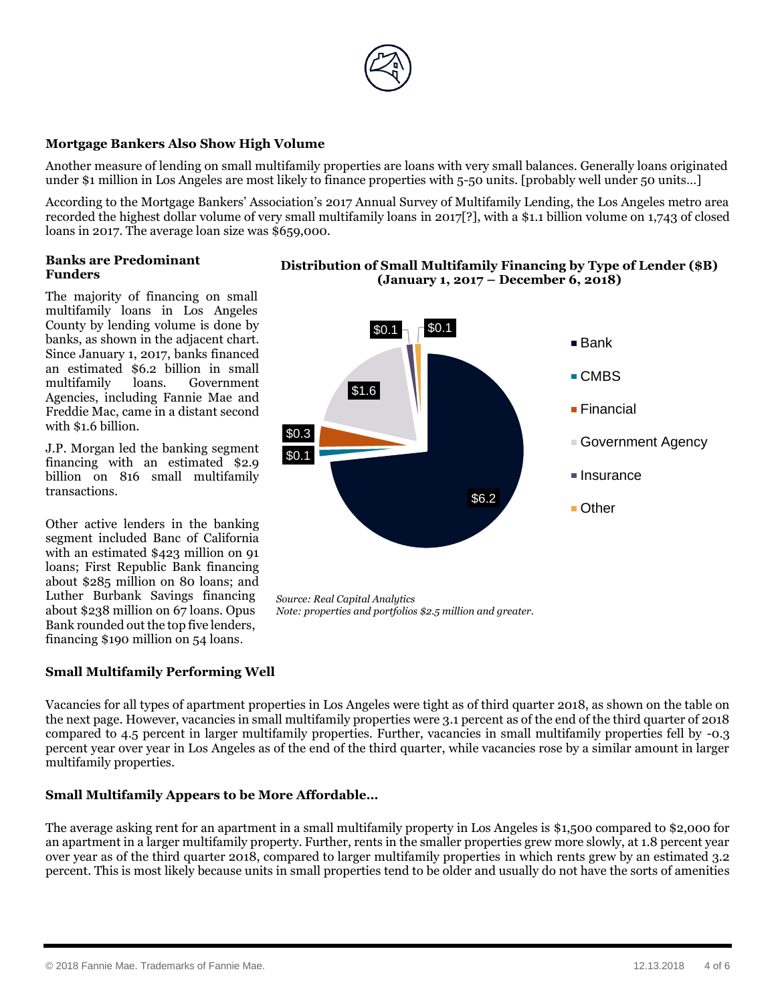

# **Mortgage Bankers Also Show High Volume**

Another measure of lending on small multifamily properties are loans with very small balances. Generally loans originated under \$1 million in Los Angeles are most likely to finance properties with 5-50 units. [probably well under 50 units…]

According to the Mortgage Bankers' Association's 2017 Annual Survey of Multifamily Lending, the Los Angeles metro area recorded the highest dollar volume of very small multifamily loans in 2017[?], with a \$1.1 billion volume on 1,743 of closed loans in 2017. The average loan size was \$659,000.

 $$0.1 - $0.1$ 

\$1.6

#### **Banks are Predominant Funders**

The majority of financing on small multifamily loans in Los Angeles County by lending volume is done by banks, as shown in the adjacent chart. Since January 1, 2017, banks financed an estimated \$6.2 billion in small multifamily loans. Government Agencies, including Fannie Mae and Freddie Mac, came in a distant second with \$1.6 billion.

J.P. Morgan led the banking segment financing with an estimated \$2.9 billion on 816 small multifamily transactions.

Other active lenders in the banking segment included Banc of California with an estimated \$423 million on 91 loans; First Republic Bank financing about \$285 million on 80 loans; and Luther Burbank Savings financing about \$238 million on 67 loans. Opus Bank rounded out the top five lenders, financing \$190 million on 54 loans.

# **Small Multifamily Performing Well**

Vacancies for all types of apartment properties in Los Angeles were tight as of third quarter 2018, as shown on the table on the next page. However, vacancies in small multifamily properties were 3.1 percent as of the end of the third quarter of 2018 compared to 4.5 percent in larger multifamily properties. Further, vacancies in small multifamily properties fell by -0.3 percent year over year in Los Angeles as of the end of the third quarter, while vacancies rose by a similar amount in larger multifamily properties.

### **Small Multifamily Appears to be More Affordable…**

The average asking rent for an apartment in a small multifamily property in Los Angeles is \$1,500 compared to \$2,000 for an apartment in a larger multifamily property. Further, rents in the smaller properties grew more slowly, at 1.8 percent year over year as of the third quarter 2018, compared to larger multifamily properties in which rents grew by an estimated 3.2 percent. This is most likely because units in small properties tend to be older and usually do not have the sorts of amenities



■ Bank

■ CMBS

■ Financial

 $\blacksquare$  Insurance

■ Other

■ Government Agency

\$6.2

*Source: Real Capital Analytics Note: properties and portfolios \$2.5 million and greater.*

\$0.1 \$0.3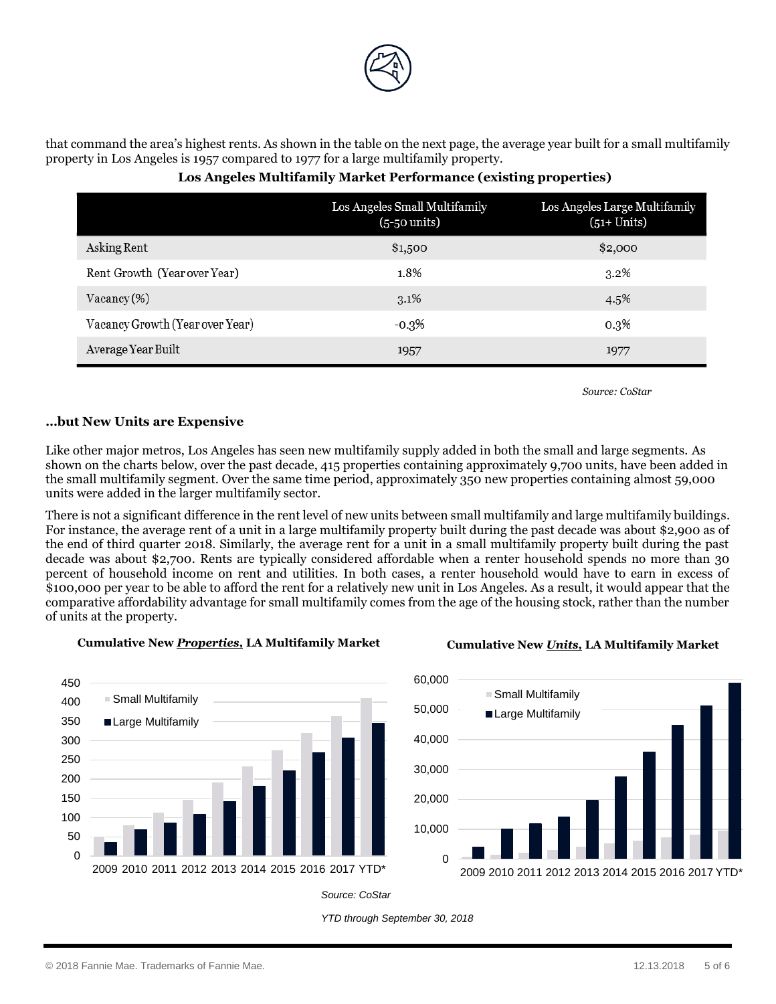

that command the area's highest rents. As shown in the table on the next page, the average year built for a small multifamily property in Los Angeles is 1957 compared to 1977 for a large multifamily property.

|                                 | Los Angeles Small Multifamily<br>$(5-50 \text{ units})$ | Los Angeles Large Multifamily<br>$(51+ Units)$ |
|---------------------------------|---------------------------------------------------------|------------------------------------------------|
| Asking Rent                     | \$1,500                                                 | \$2,000                                        |
| Rent Growth (Year over Year)    | 1.8%                                                    | $3.2\%$                                        |
| $Vacancy(\%)$                   | $3.1\%$                                                 | 4.5%                                           |
| Vacancy Growth (Year over Year) | -0.3%                                                   | $0.3\%$                                        |
| Average Year Built              | 1957                                                    | 1977                                           |

# **Los Angeles Multifamily Market Performance (existing properties)**

*Source: CoStar*

# **…but New Units are Expensive**

Like other major metros, Los Angeles has seen new multifamily supply added in both the small and large segments. As shown on the charts below, over the past decade, 415 properties containing approximately 9,700 units, have been added in the small multifamily segment. Over the same time period, approximately 350 new properties containing almost 59,000 units were added in the larger multifamily sector.

There is not a significant difference in the rent level of new units between small multifamily and large multifamily buildings. For instance, the average rent of a unit in a large multifamily property built during the past decade was about \$2,900 as of the end of third quarter 2018. Similarly, the average rent for a unit in a small multifamily property built during the past decade was about \$2,700. Rents are typically considered affordable when a renter household spends no more than 30 percent of household income on rent and utilities. In both cases, a renter household would have to earn in excess of \$100,000 per year to be able to afford the rent for a relatively new unit in Los Angeles. As a result, it would appear that the comparative affordability advantage for small multifamily comes from the age of the housing stock, rather than the number of units at the property.



### **Cumulative New** *Properties* **Cumulative New** *Units,* **LA Multifamily Market** *,* **LA Multifamily Market**